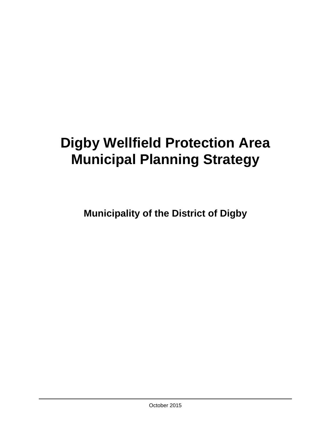# **Digby Wellfield Protection Area Municipal Planning Strategy**

**Municipality of the District of Digby**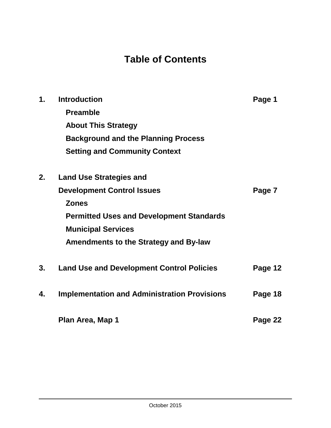## **Table of Contents**

| $\mathbf 1$ . | <b>Introduction</b>                                 | Page 1  |
|---------------|-----------------------------------------------------|---------|
|               | <b>Preamble</b>                                     |         |
|               | <b>About This Strategy</b>                          |         |
|               | <b>Background and the Planning Process</b>          |         |
|               | <b>Setting and Community Context</b>                |         |
| 2.            | <b>Land Use Strategies and</b>                      |         |
|               | <b>Development Control Issues</b>                   | Page 7  |
|               | <b>Zones</b>                                        |         |
|               | <b>Permitted Uses and Development Standards</b>     |         |
|               | <b>Municipal Services</b>                           |         |
|               | <b>Amendments to the Strategy and By-law</b>        |         |
| 3.            | <b>Land Use and Development Control Policies</b>    | Page 12 |
| 4.            | <b>Implementation and Administration Provisions</b> | Page 18 |
|               | Plan Area, Map 1                                    | Page 22 |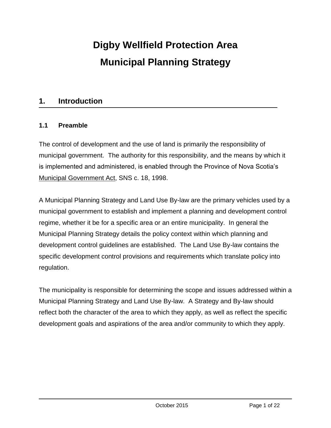## **Digby Wellfield Protection Area Municipal Planning Strategy**

#### **1. Introduction**

#### **1.1 Preamble**

The control of development and the use of land is primarily the responsibility of municipal government. The authority for this responsibility, and the means by which it is implemented and administered, is enabled through the Province of Nova Scotia's Municipal Government Act, SNS c. 18, 1998.

A Municipal Planning Strategy and Land Use By-law are the primary vehicles used by a municipal government to establish and implement a planning and development control regime, whether it be for a specific area or an entire municipality. In general the Municipal Planning Strategy details the policy context within which planning and development control guidelines are established. The Land Use By-law contains the specific development control provisions and requirements which translate policy into regulation.

The municipality is responsible for determining the scope and issues addressed within a Municipal Planning Strategy and Land Use By-law. A Strategy and By-law should reflect both the character of the area to which they apply, as well as reflect the specific development goals and aspirations of the area and/or community to which they apply.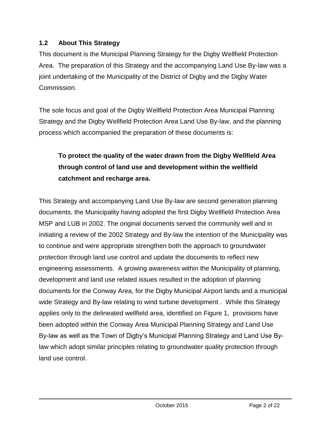#### **1.2 About This Strategy**

This document is the Municipal Planning Strategy for the Digby Wellfield Protection Area. The preparation of this Strategy and the accompanying Land Use By-law was a joint undertaking of the Municipality of the District of Digby and the Digby Water Commission.

The sole focus and goal of the Digby Wellfield Protection Area Municipal Planning Strategy and the Digby Wellfield Protection Area Land Use By-law, and the planning process which accompanied the preparation of these documents is:

### **To protect the quality of the water drawn from the Digby Wellfield Area through control of land use and development within the wellfield catchment and recharge area.**

This Strategy and accompanying Land Use By-law are second generation planning documents, the Municipality having adopted the first Digby Wellfield Protection Area MSP and LUB in 2002. The original documents served the community well and in initiating a review of the 2002 Strategy and By-law the intention of the Municipality was to continue and were appropriate strengthen both the approach to groundwater protection through land use control and update the documents to reflect new engineering assessments. A growing awareness within the Municipality of planning, development and land use related issues resulted in the adoption of planning documents for the Conway Area, for the Digby Municipal Airport lands and a municipal wide Strategy and By-law relating to wind turbine development . While this Strategy applies only to the delineated wellfield area, identified on Figure 1, provisions have been adopted within the Conway Area Municipal Planning Strategy and Land Use By-law as well as the Town of Digby's Municipal Planning Strategy and Land Use Bylaw which adopt similar principles relating to groundwater quality protection through land use control.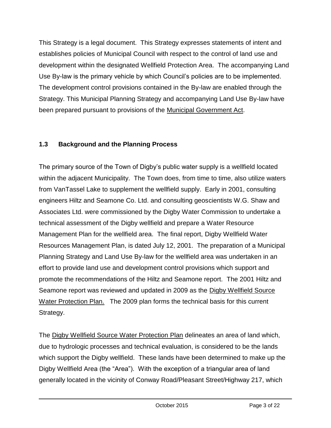This Strategy is a legal document. This Strategy expresses statements of intent and establishes policies of Municipal Council with respect to the control of land use and development within the designated Wellfield Protection Area. The accompanying Land Use By-law is the primary vehicle by which Council's policies are to be implemented. The development control provisions contained in the By-law are enabled through the Strategy. This Municipal Planning Strategy and accompanying Land Use By-law have been prepared pursuant to provisions of the Municipal Government Act.

#### **1.3 Background and the Planning Process**

The primary source of the Town of Digby's public water supply is a wellfield located within the adjacent Municipality. The Town does, from time to time, also utilize waters from VanTassel Lake to supplement the wellfield supply. Early in 2001, consulting engineers Hiltz and Seamone Co. Ltd. and consulting geoscientists W.G. Shaw and Associates Ltd. were commissioned by the Digby Water Commission to undertake a technical assessment of the Digby wellfield and prepare a Water Resource Management Plan for the wellfield area. The final report, Digby Wellfield Water Resources Management Plan, is dated July 12, 2001. The preparation of a Municipal Planning Strategy and Land Use By-law for the wellfield area was undertaken in an effort to provide land use and development control provisions which support and promote the recommendations of the Hiltz and Seamone report. The 2001 Hiltz and Seamone report was reviewed and updated in 2009 as the Digby Wellfield Source Water Protection Plan. The 2009 plan forms the technical basis for this current Strategy.

The Digby Wellfield Source Water Protection Plan delineates an area of land which, due to hydrologic processes and technical evaluation, is considered to be the lands which support the Digby wellfield. These lands have been determined to make up the Digby Wellfield Area (the "Area"). With the exception of a triangular area of land generally located in the vicinity of Conway Road/Pleasant Street/Highway 217, which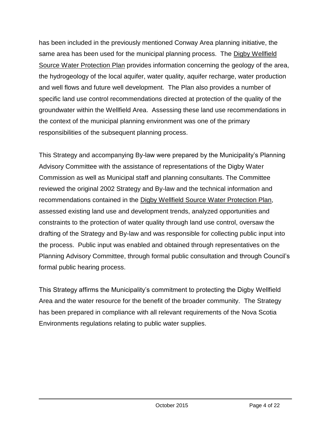has been included in the previously mentioned Conway Area planning initiative, the same area has been used for the municipal planning process. The Digby Wellfield Source Water Protection Plan provides information concerning the geology of the area, the hydrogeology of the local aquifer, water quality, aquifer recharge, water production and well flows and future well development. The Plan also provides a number of specific land use control recommendations directed at protection of the quality of the groundwater within the Wellfield Area. Assessing these land use recommendations in the context of the municipal planning environment was one of the primary responsibilities of the subsequent planning process.

This Strategy and accompanying By-law were prepared by the Municipality's Planning Advisory Committee with the assistance of representations of the Digby Water Commission as well as Municipal staff and planning consultants. The Committee reviewed the original 2002 Strategy and By-law and the technical information and recommendations contained in the Digby Wellfield Source Water Protection Plan, assessed existing land use and development trends, analyzed opportunities and constraints to the protection of water quality through land use control, oversaw the drafting of the Strategy and By-law and was responsible for collecting public input into the process. Public input was enabled and obtained through representatives on the Planning Advisory Committee, through formal public consultation and through Council's formal public hearing process.

This Strategy affirms the Municipality's commitment to protecting the Digby Wellfield Area and the water resource for the benefit of the broader community. The Strategy has been prepared in compliance with all relevant requirements of the Nova Scotia Environments regulations relating to public water supplies.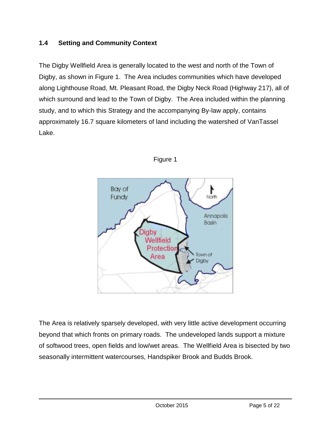#### **1.4 Setting and Community Context**

The Digby Wellfield Area is generally located to the west and north of the Town of Digby, as shown in Figure 1. The Area includes communities which have developed along Lighthouse Road, Mt. Pleasant Road, the Digby Neck Road (Highway 217), all of which surround and lead to the Town of Digby. The Area included within the planning study, and to which this Strategy and the accompanying By-law apply, contains approximately 16.7 square kilometers of land including the watershed of VanTassel Lake.





The Area is relatively sparsely developed, with very little active development occurring beyond that which fronts on primary roads. The undeveloped lands support a mixture of softwood trees, open fields and low/wet areas. The Wellfield Area is bisected by two seasonally intermittent watercourses, Handspiker Brook and Budds Brook.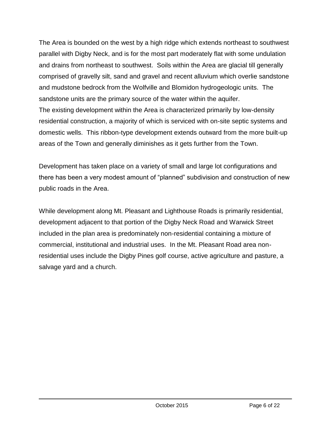The Area is bounded on the west by a high ridge which extends northeast to southwest parallel with Digby Neck, and is for the most part moderately flat with some undulation and drains from northeast to southwest. Soils within the Area are glacial till generally comprised of gravelly silt, sand and gravel and recent alluvium which overlie sandstone and mudstone bedrock from the Wolfville and Blomidon hydrogeologic units. The sandstone units are the primary source of the water within the aquifer. The existing development within the Area is characterized primarily by low-density residential construction, a majority of which is serviced with on-site septic systems and domestic wells. This ribbon-type development extends outward from the more built-up areas of the Town and generally diminishes as it gets further from the Town.

Development has taken place on a variety of small and large lot configurations and there has been a very modest amount of "planned" subdivision and construction of new public roads in the Area.

While development along Mt. Pleasant and Lighthouse Roads is primarily residential, development adjacent to that portion of the Digby Neck Road and Warwick Street included in the plan area is predominately non-residential containing a mixture of commercial, institutional and industrial uses. In the Mt. Pleasant Road area nonresidential uses include the Digby Pines golf course, active agriculture and pasture, a salvage yard and a church.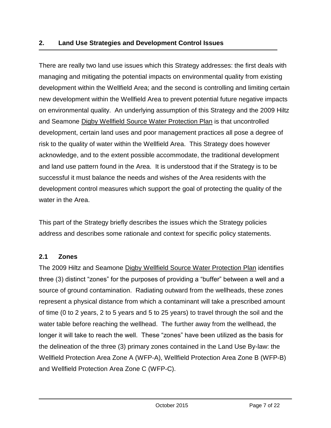There are really two land use issues which this Strategy addresses: the first deals with managing and mitigating the potential impacts on environmental quality from existing development within the Wellfield Area; and the second is controlling and limiting certain new development within the Wellfield Area to prevent potential future negative impacts on environmental quality. An underlying assumption of this Strategy and the 2009 Hiltz and Seamone Digby Wellfield Source Water Protection Plan is that uncontrolled development, certain land uses and poor management practices all pose a degree of risk to the quality of water within the Wellfield Area. This Strategy does however acknowledge, and to the extent possible accommodate, the traditional development and land use pattern found in the Area. It is understood that if the Strategy is to be successful it must balance the needs and wishes of the Area residents with the development control measures which support the goal of protecting the quality of the water in the Area.

This part of the Strategy briefly describes the issues which the Strategy policies address and describes some rationale and context for specific policy statements.

#### **2.1 Zones**

The 2009 Hiltz and Seamone Digby Wellfield Source Water Protection Plan identifies three (3) distinct "zones" for the purposes of providing a "buffer" between a well and a source of ground contamination. Radiating outward from the wellheads, these zones represent a physical distance from which a contaminant will take a prescribed amount of time (0 to 2 years, 2 to 5 years and 5 to 25 years) to travel through the soil and the water table before reaching the wellhead. The further away from the wellhead, the longer it will take to reach the well. These "zones" have been utilized as the basis for the delineation of the three (3) primary zones contained in the Land Use By-law: the Wellfield Protection Area Zone A (WFP-A), Wellfield Protection Area Zone B (WFP-B) and Wellfield Protection Area Zone C (WFP-C).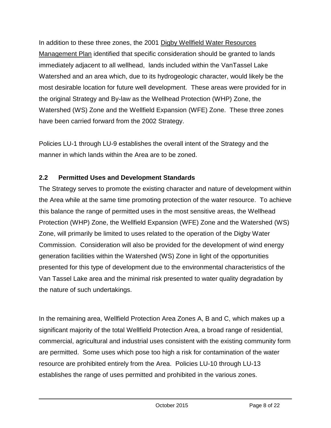In addition to these three zones, the 2001 Digby Wellfield Water Resources Management Plan identified that specific consideration should be granted to lands immediately adjacent to all wellhead, lands included within the VanTassel Lake Watershed and an area which, due to its hydrogeologic character, would likely be the most desirable location for future well development. These areas were provided for in the original Strategy and By-law as the Wellhead Protection (WHP) Zone, the Watershed (WS) Zone and the Wellfield Expansion (WFE) Zone. These three zones have been carried forward from the 2002 Strategy.

Policies LU-1 through LU-9 establishes the overall intent of the Strategy and the manner in which lands within the Area are to be zoned.

#### **2.2 Permitted Uses and Development Standards**

The Strategy serves to promote the existing character and nature of development within the Area while at the same time promoting protection of the water resource. To achieve this balance the range of permitted uses in the most sensitive areas, the Wellhead Protection (WHP) Zone, the Wellfield Expansion (WFE) Zone and the Watershed (WS) Zone, will primarily be limited to uses related to the operation of the Digby Water Commission. Consideration will also be provided for the development of wind energy generation facilities within the Watershed (WS) Zone in light of the opportunities presented for this type of development due to the environmental characteristics of the Van Tassel Lake area and the minimal risk presented to water quality degradation by the nature of such undertakings.

In the remaining area, Wellfield Protection Area Zones A, B and C, which makes up a significant majority of the total Wellfield Protection Area, a broad range of residential, commercial, agricultural and industrial uses consistent with the existing community form are permitted. Some uses which pose too high a risk for contamination of the water resource are prohibited entirely from the Area. Policies LU-10 through LU-13 establishes the range of uses permitted and prohibited in the various zones.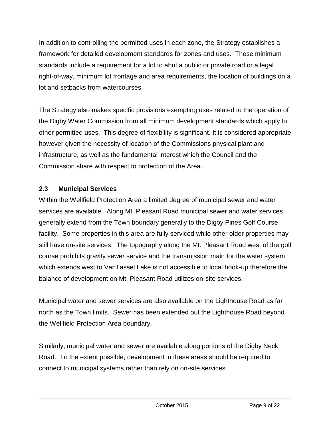In addition to controlling the permitted uses in each zone, the Strategy establishes a framework for detailed development standards for zones and uses. These minimum standards include a requirement for a lot to abut a public or private road or a legal right-of-way, minimum lot frontage and area requirements, the location of buildings on a lot and setbacks from watercourses.

The Strategy also makes specific provisions exempting uses related to the operation of the Digby Water Commission from all minimum development standards which apply to other permitted uses. This degree of flexibility is significant. It is considered appropriate however given the necessity of location of the Commissions physical plant and infrastructure, as well as the fundamental interest which the Council and the Commission share with respect to protection of the Area.

#### **2.3 Municipal Services**

Within the Wellfield Protection Area a limited degree of municipal sewer and water services are available. Along Mt. Pleasant Road municipal sewer and water services generally extend from the Town boundary generally to the Digby Pines Golf Course facility. Some properties in this area are fully serviced while other older properties may still have on-site services. The topography along the Mt. Pleasant Road west of the golf course prohibits gravity sewer service and the transmission main for the water system which extends west to VanTassel Lake is not accessible to local hook-up therefore the balance of development on Mt. Pleasant Road utilizes on-site services.

Municipal water and sewer services are also available on the Lighthouse Road as far north as the Town limits. Sewer has been extended out the Lighthouse Road beyond the Wellfield Protection Area boundary.

Similarly, municipal water and sewer are available along portions of the Digby Neck Road. To the extent possible, development in these areas should be required to connect to municipal systems rather than rely on on-site services.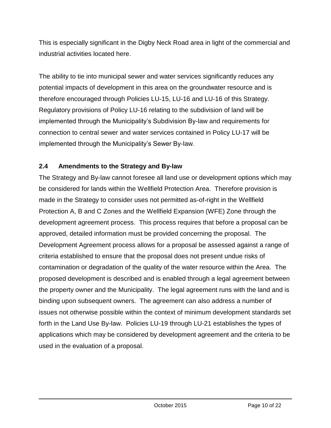This is especially significant in the Digby Neck Road area in light of the commercial and industrial activities located here.

The ability to tie into municipal sewer and water services significantly reduces any potential impacts of development in this area on the groundwater resource and is therefore encouraged through Policies LU-15, LU-16 and LU-16 of this Strategy. Regulatory provisions of Policy LU-16 relating to the subdivision of land will be implemented through the Municipality's Subdivision By-law and requirements for connection to central sewer and water services contained in Policy LU-17 will be implemented through the Municipality's Sewer By-law.

#### **2.4 Amendments to the Strategy and By-law**

The Strategy and By-law cannot foresee all land use or development options which may be considered for lands within the Wellfield Protection Area. Therefore provision is made in the Strategy to consider uses not permitted as-of-right in the Wellfield Protection A, B and C Zones and the Wellfield Expansion (WFE) Zone through the development agreement process. This process requires that before a proposal can be approved, detailed information must be provided concerning the proposal. The Development Agreement process allows for a proposal be assessed against a range of criteria established to ensure that the proposal does not present undue risks of contamination or degradation of the quality of the water resource within the Area. The proposed development is described and is enabled through a legal agreement between the property owner and the Municipality. The legal agreement runs with the land and is binding upon subsequent owners. The agreement can also address a number of issues not otherwise possible within the context of minimum development standards set forth in the Land Use By-law. Policies LU-19 through LU-21 establishes the types of applications which may be considered by development agreement and the criteria to be used in the evaluation of a proposal.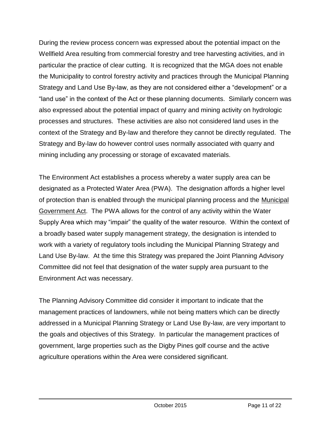During the review process concern was expressed about the potential impact on the Wellfield Area resulting from commercial forestry and tree harvesting activities, and in particular the practice of clear cutting. It is recognized that the MGA does not enable the Municipality to control forestry activity and practices through the Municipal Planning Strategy and Land Use By-law, as they are not considered either a "development" or a "land use" in the context of the Act or these planning documents. Similarly concern was also expressed about the potential impact of quarry and mining activity on hydrologic processes and structures. These activities are also not considered land uses in the context of the Strategy and By-law and therefore they cannot be directly regulated. The Strategy and By-law do however control uses normally associated with quarry and mining including any processing or storage of excavated materials.

The Environment Act establishes a process whereby a water supply area can be designated as a Protected Water Area (PWA). The designation affords a higher level of protection than is enabled through the municipal planning process and the Municipal Government Act. The PWA allows for the control of any activity within the Water Supply Area which may "impair" the quality of the water resource. Within the context of a broadly based water supply management strategy, the designation is intended to work with a variety of regulatory tools including the Municipal Planning Strategy and Land Use By-law. At the time this Strategy was prepared the Joint Planning Advisory Committee did not feel that designation of the water supply area pursuant to the Environment Act was necessary.

The Planning Advisory Committee did consider it important to indicate that the management practices of landowners, while not being matters which can be directly addressed in a Municipal Planning Strategy or Land Use By-law, are very important to the goals and objectives of this Strategy. In particular the management practices of government, large properties such as the Digby Pines golf course and the active agriculture operations within the Area were considered significant.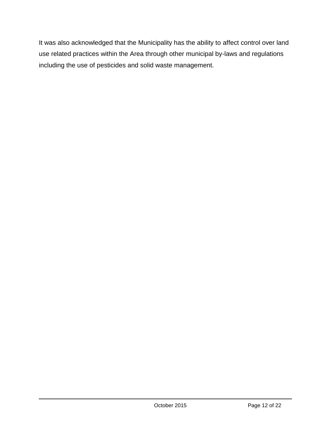It was also acknowledged that the Municipality has the ability to affect control over land use related practices within the Area through other municipal by-laws and regulations including the use of pesticides and solid waste management.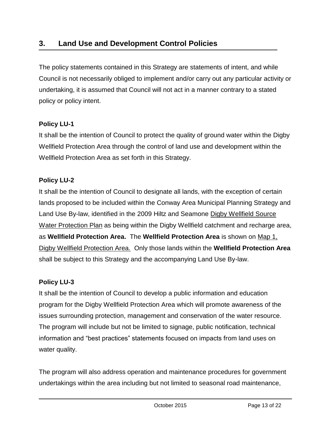The policy statements contained in this Strategy are statements of intent, and while Council is not necessarily obliged to implement and/or carry out any particular activity or undertaking, it is assumed that Council will not act in a manner contrary to a stated policy or policy intent.

#### **Policy LU-1**

It shall be the intention of Council to protect the quality of ground water within the Digby Wellfield Protection Area through the control of land use and development within the Wellfield Protection Area as set forth in this Strategy.

#### **Policy LU-2**

It shall be the intention of Council to designate all lands, with the exception of certain lands proposed to be included within the Conway Area Municipal Planning Strategy and Land Use By-law, identified in the 2009 Hiltz and Seamone Digby Wellfield Source Water Protection Plan as being within the Digby Wellfield catchment and recharge area, as **Wellfield Protection Area.** The **Wellfield Protection Area** is shown on Map 1, Digby Wellfield Protection Area. Only those lands within the **Wellfield Protection Area**  shall be subject to this Strategy and the accompanying Land Use By-law.

#### **Policy LU-3**

It shall be the intention of Council to develop a public information and education program for the Digby Wellfield Protection Area which will promote awareness of the issues surrounding protection, management and conservation of the water resource. The program will include but not be limited to signage, public notification, technical information and "best practices" statements focused on impacts from land uses on water quality.

The program will also address operation and maintenance procedures for government undertakings within the area including but not limited to seasonal road maintenance,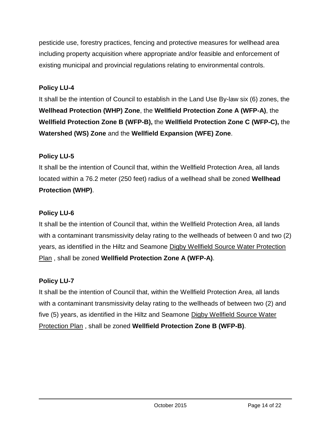pesticide use, forestry practices, fencing and protective measures for wellhead area including property acquisition where appropriate and/or feasible and enforcement of existing municipal and provincial regulations relating to environmental controls.

#### **Policy LU-4**

It shall be the intention of Council to establish in the Land Use By-law six (6) zones, the **Wellhead Protection (WHP) Zone**, the **Wellfield Protection Zone A (WFP-A)**, the **Wellfield Protection Zone B (WFP-B),** the **Wellfield Protection Zone C (WFP-C),** the **Watershed (WS) Zone** and the **Wellfield Expansion (WFE) Zone**.

#### **Policy LU-5**

It shall be the intention of Council that, within the Wellfield Protection Area, all lands located within a 76.2 meter (250 feet) radius of a wellhead shall be zoned **Wellhead Protection (WHP)**.

#### **Policy LU-6**

It shall be the intention of Council that, within the Wellfield Protection Area, all lands with a contaminant transmissivity delay rating to the wellheads of between 0 and two (2) years, as identified in the Hiltz and Seamone Digby Wellfield Source Water Protection Plan , shall be zoned **Wellfield Protection Zone A (WFP-A)**.

#### **Policy LU-7**

It shall be the intention of Council that, within the Wellfield Protection Area, all lands with a contaminant transmissivity delay rating to the wellheads of between two (2) and five (5) years, as identified in the Hiltz and Seamone Digby Wellfield Source Water Protection Plan , shall be zoned **Wellfield Protection Zone B (WFP-B)**.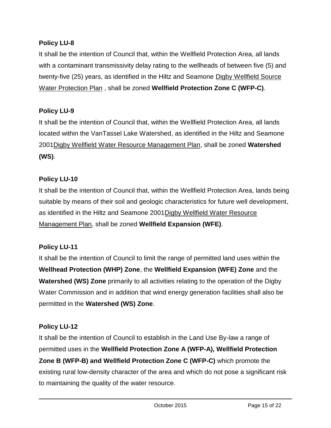It shall be the intention of Council that, within the Wellfield Protection Area, all lands with a contaminant transmissivity delay rating to the wellheads of between five (5) and twenty-five (25) years, as identified in the Hiltz and Seamone Digby Wellfield Source Water Protection Plan , shall be zoned **Wellfield Protection Zone C (WFP-C)**.

#### **Policy LU-9**

It shall be the intention of Council that, within the Wellfield Protection Area, all lands located within the VanTassel Lake Watershed, as identified in the Hiltz and Seamone 2001Digby Wellfield Water Resource Management Plan, shall be zoned **Watershed (WS)**.

#### **Policy LU-10**

It shall be the intention of Council that, within the Wellfield Protection Area, lands being suitable by means of their soil and geologic characteristics for future well development, as identified in the Hiltz and Seamone 2001 Digby Wellfield Water Resource Management Plan, shall be zoned **Wellfield Expansion (WFE)**.

#### **Policy LU-11**

It shall be the intention of Council to limit the range of permitted land uses within the **Wellhead Protection (WHP) Zone**, the **Wellfield Expansion (WFE) Zone** and the **Watershed (WS) Zone** primarily to all activities relating to the operation of the Digby Water Commission and in addition that wind energy generation facilities shall also be permitted in the **Watershed (WS) Zone**.

#### **Policy LU-12**

It shall be the intention of Council to establish in the Land Use By-law a range of permitted uses in the **Wellfield Protection Zone A (WFP-A), Wellfield Protection Zone B (WFP-B) and Wellfield Protection Zone C (WFP-C)** which promote the existing rural low-density character of the area and which do not pose a significant risk to maintaining the quality of the water resource.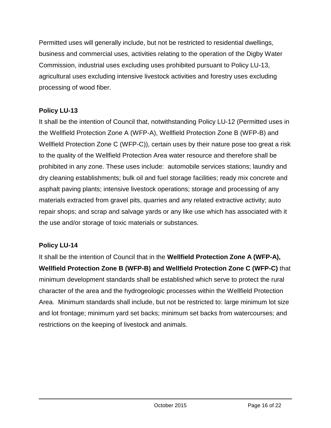Permitted uses will generally include, but not be restricted to residential dwellings, business and commercial uses, activities relating to the operation of the Digby Water Commission, industrial uses excluding uses prohibited pursuant to Policy LU-13, agricultural uses excluding intensive livestock activities and forestry uses excluding processing of wood fiber.

#### **Policy LU-13**

It shall be the intention of Council that, notwithstanding Policy LU-12 (Permitted uses in the Wellfield Protection Zone A (WFP-A), Wellfield Protection Zone B (WFP-B) and Wellfield Protection Zone C (WFP-C)), certain uses by their nature pose too great a risk to the quality of the Wellfield Protection Area water resource and therefore shall be prohibited in any zone. These uses include: automobile services stations; laundry and dry cleaning establishments; bulk oil and fuel storage facilities; ready mix concrete and asphalt paving plants; intensive livestock operations; storage and processing of any materials extracted from gravel pits, quarries and any related extractive activity; auto repair shops; and scrap and salvage yards or any like use which has associated with it the use and/or storage of toxic materials or substances.

#### **Policy LU-14**

It shall be the intention of Council that in the **Wellfield Protection Zone A (WFP-A), Wellfield Protection Zone B (WFP-B) and Wellfield Protection Zone C (WFP-C)** that minimum development standards shall be established which serve to protect the rural character of the area and the hydrogeologic processes within the Wellfield Protection Area. Minimum standards shall include, but not be restricted to: large minimum lot size and lot frontage; minimum yard set backs; minimum set backs from watercourses; and restrictions on the keeping of livestock and animals.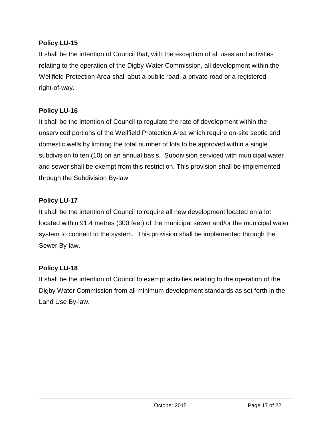It shall be the intention of Council that, with the exception of all uses and activities relating to the operation of the Digby Water Commission, all development within the Wellfield Protection Area shall abut a public road, a private road or a registered right-of-way.

#### **Policy LU-16**

It shall be the intention of Council to regulate the rate of development within the unserviced portions of the Wellfield Protection Area which require on-site septic and domestic wells by limiting the total number of lots to be approved within a single subdivision to ten (10) on an annual basis. Subdivision serviced with municipal water and sewer shall be exempt from this restriction. This provision shall be implemented through the Subdivision By-law

#### **Policy LU-17**

It shall be the intention of Council to require all new development located on a lot located within 91.4 metres (300 feet) of the municipal sewer and/or the municipal water system to connect to the system. This provision shall be implemented through the Sewer By-law.

#### **Policy LU-18**

It shall be the intention of Council to exempt activities relating to the operation of the Digby Water Commission from all minimum development standards as set forth in the Land Use By-law.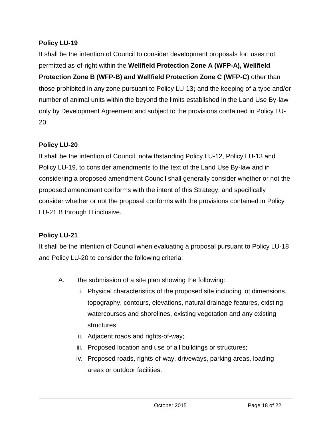It shall be the intention of Council to consider development proposals for: uses not permitted as-of-right within the **Wellfield Protection Zone A (WFP-A), Wellfield Protection Zone B (WFP-B) and Wellfield Protection Zone C (WFP-C)** other than those prohibited in any zone pursuant to Policy LU-13**;** and the keeping of a type and/or number of animal units within the beyond the limits established in the Land Use By-law only by Development Agreement and subject to the provisions contained in Policy LU-20.

#### **Policy LU-20**

It shall be the intention of Council, notwithstanding Policy LU-12, Policy LU-13 and Policy LU-19, to consider amendments to the text of the Land Use By-law and in considering a proposed amendment Council shall generally consider whether or not the proposed amendment conforms with the intent of this Strategy, and specifically consider whether or not the proposal conforms with the provisions contained in Policy LU-21 B through H inclusive.

#### **Policy LU-21**

It shall be the intention of Council when evaluating a proposal pursuant to Policy LU-18 and Policy LU-20 to consider the following criteria:

- A. the submission of a site plan showing the following:
	- i. Physical characteristics of the proposed site including lot dimensions, topography, contours, elevations, natural drainage features, existing watercourses and shorelines, existing vegetation and any existing structures;
	- ii. Adjacent roads and rights-of-way;
	- iii. Proposed location and use of all buildings or structures;
	- iv. Proposed roads, rights-of-way, driveways, parking areas, loading areas or outdoor facilities.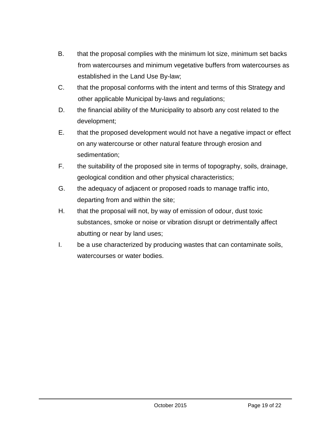- B. that the proposal complies with the minimum lot size, minimum set backs from watercourses and minimum vegetative buffers from watercourses as established in the Land Use By-law;
- C. that the proposal conforms with the intent and terms of this Strategy and other applicable Municipal by-laws and regulations;
- D. the financial ability of the Municipality to absorb any cost related to the development;
- E. that the proposed development would not have a negative impact or effect on any watercourse or other natural feature through erosion and sedimentation;
- F. the suitability of the proposed site in terms of topography, soils, drainage, geological condition and other physical characteristics;
- G. the adequacy of adjacent or proposed roads to manage traffic into, departing from and within the site;
- H. that the proposal will not, by way of emission of odour, dust toxic substances, smoke or noise or vibration disrupt or detrimentally affect abutting or near by land uses;
- I. be a use characterized by producing wastes that can contaminate soils, watercourses or water bodies.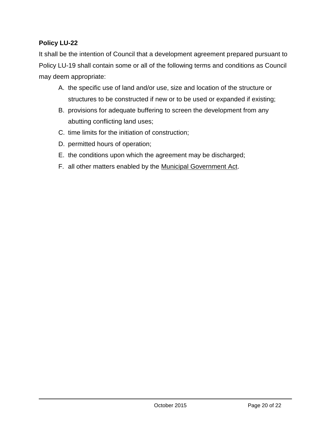It shall be the intention of Council that a development agreement prepared pursuant to Policy LU-19 shall contain some or all of the following terms and conditions as Council may deem appropriate:

- A. the specific use of land and/or use, size and location of the structure or structures to be constructed if new or to be used or expanded if existing;
- B. provisions for adequate buffering to screen the development from any abutting conflicting land uses;
- C. time limits for the initiation of construction;
- D. permitted hours of operation;
- E. the conditions upon which the agreement may be discharged;
- F. all other matters enabled by the Municipal Government Act.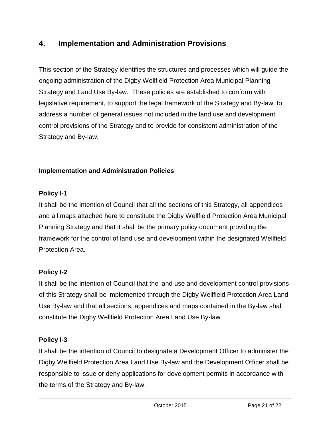#### **4. Implementation and Administration Provisions**

This section of the Strategy identifies the structures and processes which will guide the ongoing administration of the Digby Wellfield Protection Area Municipal Planning Strategy and Land Use By-law. These policies are established to conform with legislative requirement, to support the legal framework of the Strategy and By-law, to address a number of general issues not included in the land use and development control provisions of the Strategy and to provide for consistent administration of the Strategy and By-law.

#### **Implementation and Administration Policies**

#### **Policy I-1**

It shall be the intention of Council that all the sections of this Strategy, all appendices and all maps attached here to constitute the Digby Wellfield Protection Area Municipal Planning Strategy and that it shall be the primary policy document providing the framework for the control of land use and development within the designated Wellfield Protection Area.

#### **Policy I-2**

It shall be the intention of Council that the land use and development control provisions of this Strategy shall be implemented through the Digby Wellfield Protection Area Land Use By-law and that all sections, appendices and maps contained in the By-law shall constitute the Digby Wellfield Protection Area Land Use By-law.

#### **Policy I-3**

It shall be the intention of Council to designate a Development Officer to administer the Digby Wellfield Protection Area Land Use By-law and the Development Officer shall be responsible to issue or deny applications for development permits in accordance with the terms of the Strategy and By-law.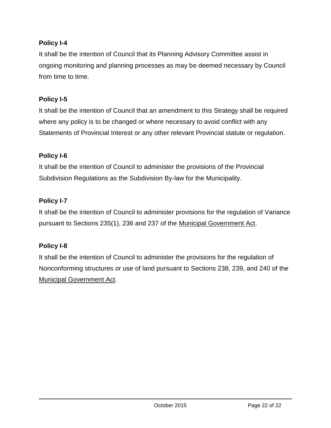#### **Policy I-4**

It shall be the intention of Council that its Planning Advisory Committee assist in ongoing monitoring and planning processes as may be deemed necessary by Council from time to time.

#### **Policy I-5**

It shall be the intention of Council that an amendment to this Strategy shall be required where any policy is to be changed or where necessary to avoid conflict with any Statements of Provincial Interest or any other relevant Provincial statute or regulation.

#### **Policy I-6**

It shall be the intention of Council to administer the provisions of the Provincial Subdivision Regulations as the Subdivision By-law for the Municipality.

#### **Policy I-7**

It shall be the intention of Council to administer provisions for the regulation of Variance pursuant to Sections 235(1), 236 and 237 of the Municipal Government Act.

#### **Policy I-8**

It shall be the intention of Council to administer the provisions for the regulation of Nonconforming structures or use of land pursuant to Sections 238, 239, and 240 of the Municipal Government Act.